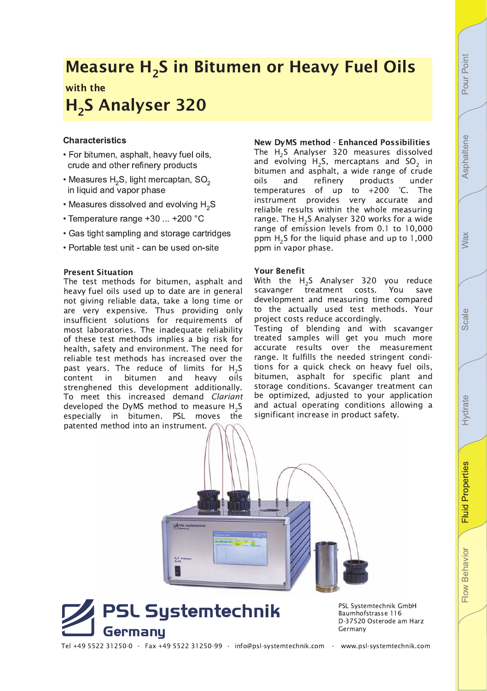# Measure H $_{2}$ S in Bitumen or Heavy Fuel Oils with the

# H<sub>2</sub>S Analyser 320

# **Characteristics**

- For bitumen, asphalt, heavy fuel oils, crude and other refinery products
- Measures  $H_2S$ , light mercaptan, SO<sub>2</sub> in liquid and vapor phase
- $\cdot$  Measures dissolved and evolving H<sub>2</sub>S
- Temperature range +30 ... +200 °C
- Gas tight sampling and storage cartridges
- Portable test unit can be used on-site

## **Present Situation**

The test methods for bitumen, asphalt and heavy fuel oils used up to date are in general not giving reliable data, take a long time or are very expensive. Thus providing only insufficient solutions for requirements of most laboratories. The inadequate reliability of these test methods implies a big risk for health, safety and environment. The need for reliable test methods has increased over the past years. The reduce of limits for  $\rm{H}_{2}S$ content in bitumen and heavy oils strenghened this development additionally. To meet this increased demand Clariant developed the DyMS method to measure  $\text{H}_{\text{2}}\text{S}$ especially in bitumen. PSL moves the patented method into an instrument.

New DyMS method - Enhanced Possibilities The  ${\sf H_2S}$  Analyser 320 measures dissolved and evolving  $H_2S$ , mercaptans and  $SO_2$  in bitumen and asphalt, a wide range of crude<br>oils and refinery products under oils and refinery products temperatures of up to  $+200$  °C. The instrument provides very accurate and reliable results within the whole measuring range. The  $\text{H}_{2}$ S Analyser 320 works for a wide range of emission levels from 0.1 to 10,000 ppm  $H_2$ S for the liquid phase and up to 1,000 ppm in vapor phase.

### **Your Benefit**

With the  ${\sf H_2S}$  Analyser 320 you reduce scavanger treatment costs. You save development and measuring time compared to the actually used test methods. Your project costs reduce accordingly.

Testing of blending and with scavanger treated samples will get you much more accurate results over the measurement range. It fulfills the needed stringent conditions for a quick check on heavy fuel oils, bitumen, asphalt for specific plant and storage conditions. Scavanger treatment can be optimized, adjusted to your application and actual operating conditions allowing a significant increase in product safety.





PSL Systemtechnik GmbH Baumhofstrasse 116 D-37520 Osterode am Harz Germany

Tel +49 5522 31250-0 • Fax +49 5522 31250-99 • info@psl-systemtechnik.com • www.psl-systemtechnik.com